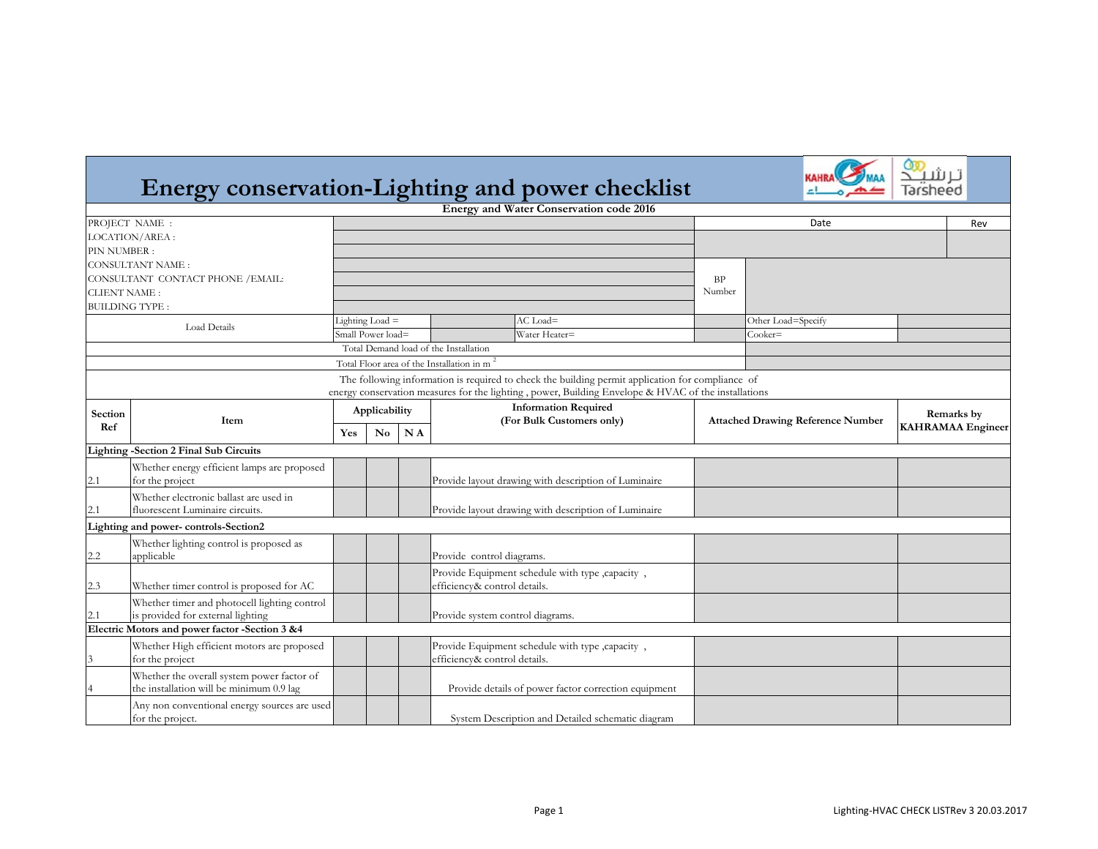## **Energy conservation-Lighting and power checklist**



|                       |                                                                           |                                       |           |    | <b>Energy and Water Conservation code 2016</b>                                                                                                                                                           |                                          |                          |            |     |
|-----------------------|---------------------------------------------------------------------------|---------------------------------------|-----------|----|----------------------------------------------------------------------------------------------------------------------------------------------------------------------------------------------------------|------------------------------------------|--------------------------|------------|-----|
|                       | PROJECT NAME :                                                            |                                       |           |    |                                                                                                                                                                                                          |                                          | Date                     |            | Rev |
|                       | LOCATION/AREA:                                                            |                                       |           |    |                                                                                                                                                                                                          |                                          |                          |            |     |
| PIN NUMBER:           |                                                                           |                                       |           |    |                                                                                                                                                                                                          |                                          |                          |            |     |
|                       | <b>CONSULTANT NAME:</b>                                                   |                                       |           |    |                                                                                                                                                                                                          |                                          |                          |            |     |
|                       | CONSULTANT CONTACT PHONE / EMAIL:                                         |                                       |           |    |                                                                                                                                                                                                          | <b>BP</b>                                |                          |            |     |
| <b>CLIENT NAME:</b>   |                                                                           |                                       |           |    |                                                                                                                                                                                                          | Number                                   |                          |            |     |
| <b>BUILDING TYPE:</b> |                                                                           |                                       |           |    |                                                                                                                                                                                                          |                                          |                          |            |     |
| Load Details          |                                                                           | Lighting Load $=$                     |           |    | $AC$ Load=                                                                                                                                                                                               |                                          | Other Load=Specify       |            |     |
|                       |                                                                           | Small Power load=                     |           |    | Water Heater=                                                                                                                                                                                            |                                          | $Cooker=$                |            |     |
|                       |                                                                           | Total Demand load of the Installation |           |    |                                                                                                                                                                                                          |                                          |                          |            |     |
|                       |                                                                           |                                       |           |    | Total Floor area of the Installation in m                                                                                                                                                                |                                          |                          |            |     |
|                       |                                                                           |                                       |           |    | The following information is required to check the building permit application for compliance of<br>energy conservation measures for the lighting , power, Building Envelope & HVAC of the installations |                                          |                          |            |     |
| Section<br>Ref        | Item                                                                      | Applicability                         |           |    | <b>Information Required</b><br>(For Bulk Customers only)                                                                                                                                                 | <b>Attached Drawing Reference Number</b> |                          | Remarks by |     |
|                       |                                                                           | Yes                                   | <b>No</b> | NA |                                                                                                                                                                                                          |                                          | <b>KAHRAMAA</b> Engineer |            |     |
|                       | <b>Lighting -Section 2 Final Sub Circuits</b>                             |                                       |           |    |                                                                                                                                                                                                          |                                          |                          |            |     |
|                       | Whether energy efficient lamps are proposed                               |                                       |           |    |                                                                                                                                                                                                          |                                          |                          |            |     |
| 2.1                   | for the project                                                           |                                       |           |    | Provide layout drawing with description of Luminaire                                                                                                                                                     |                                          |                          |            |     |
| 2.1                   | Whether electronic ballast are used in<br>fluorescent Luminaire circuits. |                                       |           |    | Provide layout drawing with description of Luminaire                                                                                                                                                     |                                          |                          |            |     |
|                       | Lighting and power-controls-Section2                                      |                                       |           |    |                                                                                                                                                                                                          |                                          |                          |            |     |
|                       | Whether lighting control is proposed as                                   |                                       |           |    |                                                                                                                                                                                                          |                                          |                          |            |     |
| 2.2                   | applicable                                                                |                                       |           |    | Provide control diagrams.                                                                                                                                                                                |                                          |                          |            |     |
|                       |                                                                           |                                       |           |    | Provide Equipment schedule with type , capacity,                                                                                                                                                         |                                          |                          |            |     |
| 2.3                   | Whether timer control is proposed for AC                                  |                                       |           |    | efficiency& control details.                                                                                                                                                                             |                                          |                          |            |     |
|                       | Whether timer and photocell lighting control                              |                                       |           |    |                                                                                                                                                                                                          |                                          |                          |            |     |
| 2.1                   | is provided for external lighting                                         |                                       |           |    | Provide system control diagrams.                                                                                                                                                                         |                                          |                          |            |     |
|                       | Electric Motors and power factor -Section 3 &4                            |                                       |           |    |                                                                                                                                                                                                          |                                          |                          |            |     |
|                       |                                                                           |                                       |           |    |                                                                                                                                                                                                          |                                          |                          |            |     |
| 3                     | Whether High efficient motors are proposed<br>for the project             |                                       |           |    | Provide Equipment schedule with type , capacity,<br>efficiency& control details.                                                                                                                         |                                          |                          |            |     |
|                       | Whether the overall system power factor of                                |                                       |           |    |                                                                                                                                                                                                          |                                          |                          |            |     |
|                       | the installation will be minimum 0.9 lag                                  |                                       |           |    | Provide details of power factor correction equipment                                                                                                                                                     |                                          |                          |            |     |
|                       | Any non conventional energy sources are used<br>for the project.          |                                       |           |    | System Description and Detailed schematic diagram                                                                                                                                                        |                                          |                          |            |     |